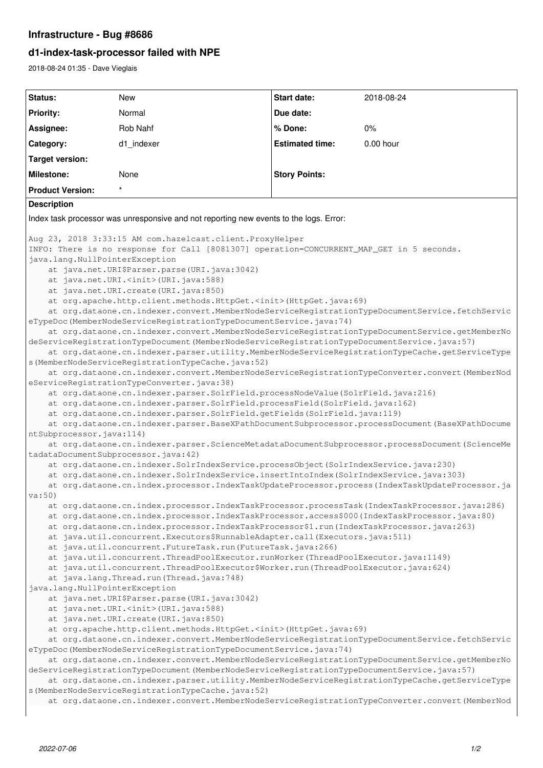## **Infrastructure - Bug #8686**

## **d1-index-task-processor failed with NPE**

2018-08-24 01:35 - Dave Vieglais

```
Status: New Start date: 2018-08-24
Priority: Normal Due date:
Assignee: Rob Nahf % Done: 0%
Category: d1_indexer Estimated time: 0.00 hour
Target version:
Milestone: None None Story Points:
Product Version:
Description
Index task processor was unresponsive and not reporting new events to the logs. Error:
Aug 23, 2018 3:33:15 AM com.hazelcast.client.ProxyHelper
INFO: There is no response for Call [8081307] operation=CONCURRENT_MAP_GET in 5 seconds.
java.lang.NullPointerException
        at java.net.URI$Parser.parse(URI.java:3042)
        at java.net.URI.<init>(URI.java:588)
        at java.net.URI.create(URI.java:850)
        at org.apache.http.client.methods.HttpGet.<init>(HttpGet.java:69)
        at org.dataone.cn.indexer.convert.MemberNodeServiceRegistrationTypeDocumentService.fetchServic
eTypeDoc(MemberNodeServiceRegistrationTypeDocumentService.java:74)
        at org.dataone.cn.indexer.convert.MemberNodeServiceRegistrationTypeDocumentService.getMemberNo
deServiceRegistrationTypeDocument(MemberNodeServiceRegistrationTypeDocumentService.java:57)
        at org.dataone.cn.indexer.parser.utility.MemberNodeServiceRegistrationTypeCache.getServiceType
s(MemberNodeServiceRegistrationTypeCache.java:52)
        at org.dataone.cn.indexer.convert.MemberNodeServiceRegistrationTypeConverter.convert(MemberNod
eServiceRegistrationTypeConverter.java:38)
        at org.dataone.cn.indexer.parser.SolrField.processNodeValue(SolrField.java:216)
        at org.dataone.cn.indexer.parser.SolrField.processField(SolrField.java:162)
        at org.dataone.cn.indexer.parser.SolrField.getFields(SolrField.java:119)
        at org.dataone.cn.indexer.parser.BaseXPathDocumentSubprocessor.processDocument(BaseXPathDocume
ntSubprocessor.java:114)
        at org.dataone.cn.indexer.parser.ScienceMetadataDocumentSubprocessor.processDocument(ScienceMe
tadataDocumentSubprocessor.java:42)
        at org.dataone.cn.indexer.SolrIndexService.processObject(SolrIndexService.java:230)
        at org.dataone.cn.indexer.SolrIndexService.insertIntoIndex(SolrIndexService.java:303)
    at org.dataone.cn.index.processor.IndexTaskUpdateProcessor.process(IndexTaskUpdateProcessor.ja
va:50)
        at org.dataone.cn.index.processor.IndexTaskProcessor.processTask(IndexTaskProcessor.java:286)
        at org.dataone.cn.index.processor.IndexTaskProcessor.access$000(IndexTaskProcessor.java:80)
        at org.dataone.cn.index.processor.IndexTaskProcessor$1.run(IndexTaskProcessor.java:263)
        at java.util.concurrent.Executors$RunnableAdapter.call(Executors.java:511)
        at java.util.concurrent.FutureTask.run(FutureTask.java:266)
        at java.util.concurrent.ThreadPoolExecutor.runWorker(ThreadPoolExecutor.java:1149)
        at java.util.concurrent.ThreadPoolExecutor$Worker.run(ThreadPoolExecutor.java:624)
        at java.lang.Thread.run(Thread.java:748)
java.lang.NullPointerException
        at java.net.URI$Parser.parse(URI.java:3042)
        at java.net.URI.<init>(URI.java:588)
    at java.net.URI.create(URI.java:850)
        at org.apache.http.client.methods.HttpGet.<init>(HttpGet.java:69)
        at org.dataone.cn.indexer.convert.MemberNodeServiceRegistrationTypeDocumentService.fetchServic
eTypeDoc(MemberNodeServiceRegistrationTypeDocumentService.java:74)
        at org.dataone.cn.indexer.convert.MemberNodeServiceRegistrationTypeDocumentService.getMemberNo
deServiceRegistrationTypeDocument(MemberNodeServiceRegistrationTypeDocumentService.java:57)
        at org.dataone.cn.indexer.parser.utility.MemberNodeServiceRegistrationTypeCache.getServiceType
s(MemberNodeServiceRegistrationTypeCache.java:52)
        at org.dataone.cn.indexer.convert.MemberNodeServiceRegistrationTypeConverter.convert(MemberNod
```